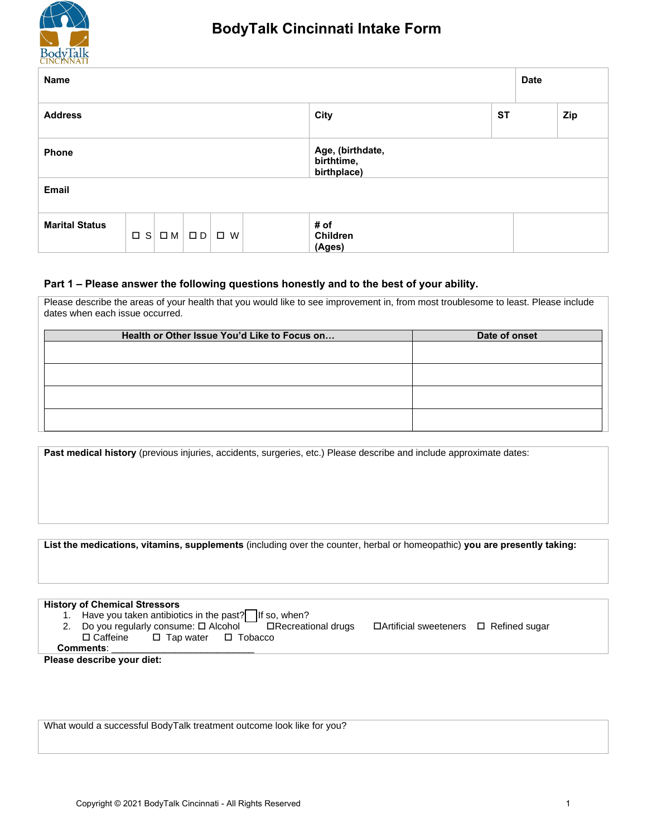

| Name                                                |                                       |           | <b>Date</b> |  |  |  |
|-----------------------------------------------------|---------------------------------------|-----------|-------------|--|--|--|
| <b>Address</b>                                      | City                                  | <b>ST</b> | Zip         |  |  |  |
| Phone                                               | Age, (birthdate,<br>time, birthplace) |           |             |  |  |  |
| <b>Email</b>                                        |                                       |           |             |  |  |  |
| <b>Marital Status</b><br>SLOM OUDLH FS WE HS (Ages) | # of                                  |           |             |  |  |  |

## **Part 1 – Please answer the following questions honestly and to the best of your ability.**

Please describe the areas of your health that you would like to see improvement in, from most troublesome to least. Please include dates when each issue occurred.

| Health or Other Issue You'd Like to Focus on | Date of onset |
|----------------------------------------------|---------------|
|                                              |               |
|                                              |               |
|                                              |               |
|                                              |               |
|                                              |               |
|                                              |               |

Past medical history (previous injuries, accidents, surgeries, etc.) Please describe and include approximate dates:

| List the medications, vitamins, supplements (including over the counter, herbal or homeopathic) you are presently taking:                                                                                                           |  |
|-------------------------------------------------------------------------------------------------------------------------------------------------------------------------------------------------------------------------------------|--|
| <b>History of Chemical Stressors</b><br>2. Do you regularly consume: $\Box$ Alcohol $\Box$ <b>Execreational drugs</b> Exercificial sweeteners $\Box$ Refined sugar<br>□ Caffeine □ Tap water □ Tobacco                              |  |
| <b>Comments:</b> example a series of the series of the series of the series of the series of the series of the series of the series of the series of the series of the series of the series of the series of the series of the seri |  |
| Please describe your diet:                                                                                                                                                                                                          |  |
| What would a successful BodyTalk treatment outcome look like for you?                                                                                                                                                               |  |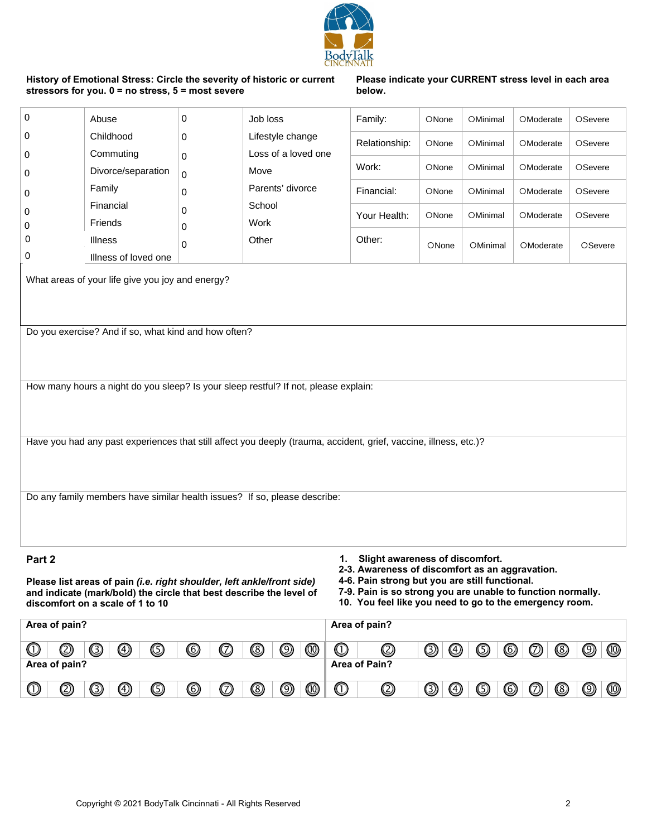| 0 |
|---|
| 0 |
| 0 |
| 0 |
| 0 |
| 0 |
| 0 |
| 0 |
|   |

 $\mathbf 0$